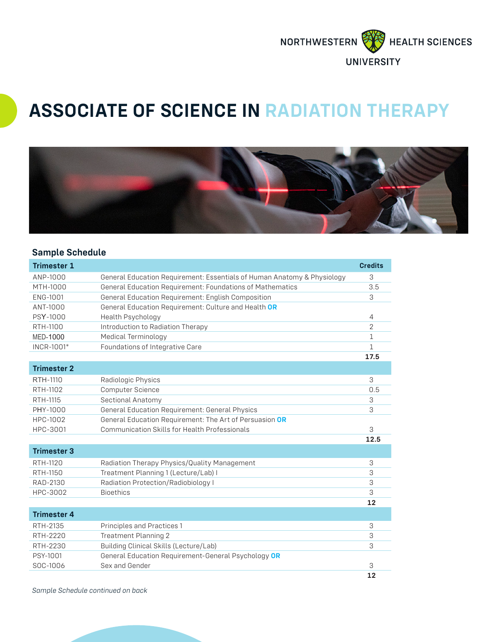

## **ASSOCIATE OF SCIENCE IN RADIATION THERAPY**



## **Sample Schedule**

| <b>Trimester 1</b> |                                                                         | <b>Credits</b> |
|--------------------|-------------------------------------------------------------------------|----------------|
| ANP-1000           | General Education Requirement: Essentials of Human Anatomy & Physiology | 3              |
| MTH-1000           | General Education Requirement: Foundations of Mathematics               | 3.5            |
| ENG-1001           | General Education Requirement: English Composition                      | 3              |
| ANT-1000           | General Education Requirement: Culture and Health OR                    |                |
| PSY-1000           | Health Psychology                                                       | $\overline{4}$ |
| RTH-1100           | Introduction to Radiation Therapy                                       | $\overline{2}$ |
| <b>MED-1000</b>    | <b>Medical Terminology</b>                                              | $\mathbf{1}$   |
| INCR-1001*         | Foundations of Integrative Care                                         | $\mathbf{1}$   |
|                    |                                                                         | 17.5           |
| <b>Trimester 2</b> |                                                                         |                |
| RTH-1110           | Radiologic Physics                                                      | 3              |
| RTH-1102           | <b>Computer Science</b>                                                 | 0.5            |
| RTH-1115           | Sectional Anatomy                                                       | 3              |
| PHY-1000           | General Education Requirement: General Physics                          | 3              |
| HPC-1002           | General Education Requirement: The Art of Persuasion OR                 |                |
| HPC-3001           | Communication Skills for Health Professionals                           | 3              |
|                    |                                                                         | 12.5           |
| <b>Trimester 3</b> |                                                                         |                |
| RTH-1120           | Radiation Therapy Physics/Quality Management                            | 3              |
| RTH-1150           | Treatment Planning 1 (Lecture/Lab) I                                    | 3              |
| RAD-2130           | Radiation Protection/Radiobiology I                                     | 3              |
| HPC-3002           | <b>Bioethics</b>                                                        | 3              |
|                    |                                                                         | 12             |
| <b>Trimester 4</b> |                                                                         |                |
| RTH-2135           | Principles and Practices 1                                              | 3              |
| RTH-2220           | Treatment Planning 2                                                    | 3              |
| RTH-2230           | Building Clinical Skills (Lecture/Lab)                                  | 3              |
| PSY-1001           | General Education Requirement-General Psychology OR                     |                |
| SOC-1006           | Sex and Gender                                                          | З              |
|                    |                                                                         | 12             |

*Sample Schedule continued on back*